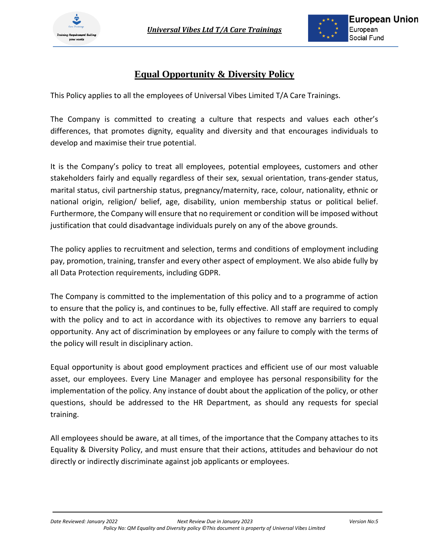

# **Equal Opportunity & Diversity Policy**

This Policy applies to all the employees of Universal Vibes Limited T/A Care Trainings.

The Company is committed to creating a culture that respects and values each other's differences, that promotes dignity, equality and diversity and that encourages individuals to develop and maximise their true potential.

It is the Company's policy to treat all employees, potential employees, customers and other stakeholders fairly and equally regardless of their sex, sexual orientation, trans-gender status, marital status, civil partnership status, pregnancy/maternity, race, colour, nationality, ethnic or national origin, religion/ belief, age, disability, union membership status or political belief. Furthermore, the Company will ensure that no requirement or condition will be imposed without justification that could disadvantage individuals purely on any of the above grounds.

The policy applies to recruitment and selection, terms and conditions of employment including pay, promotion, training, transfer and every other aspect of employment. We also abide fully by all Data Protection requirements, including GDPR.

The Company is committed to the implementation of this policy and to a programme of action to ensure that the policy is, and continues to be, fully effective. All staff are required to comply with the policy and to act in accordance with its objectives to remove any barriers to equal opportunity. Any act of discrimination by employees or any failure to comply with the terms of the policy will result in disciplinary action.

Equal opportunity is about good employment practices and efficient use of our most valuable asset, our employees. Every Line Manager and employee has personal responsibility for the implementation of the policy. Any instance of doubt about the application of the policy, or other questions, should be addressed to the HR Department, as should any requests for special training.

All employees should be aware, at all times, of the importance that the Company attaches to its Equality & Diversity Policy, and must ensure that their actions, attitudes and behaviour do not directly or indirectly discriminate against job applicants or employees.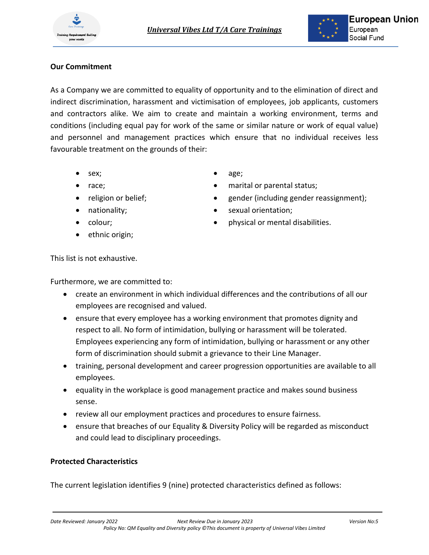### **Our Commitment**

As a Company we are committed to equality of opportunity and to the elimination of direct and indirect discrimination, harassment and victimisation of employees, job applicants, customers and contractors alike. We aim to create and maintain a working environment, terms and conditions (including equal pay for work of the same or similar nature or work of equal value) and personnel and management practices which ensure that no individual receives less favourable treatment on the grounds of their:

- sex;
- race;
- religion or belief;
- nationality;
- colour;
- ethnic origin;
- age;
- marital or parental status;
- gender (including gender reassignment);
- sexual orientation;
- physical or mental disabilities.

This list is not exhaustive.

Furthermore, we are committed to:

- create an environment in which individual differences and the contributions of all our employees are recognised and valued.
- ensure that every employee has a working environment that promotes dignity and respect to all. No form of intimidation, bullying or harassment will be tolerated. Employees experiencing any form of intimidation, bullying or harassment or any other form of discrimination should submit a grievance to their Line Manager.
- training, personal development and career progression opportunities are available to all employees.
- equality in the workplace is good management practice and makes sound business sense.
- review all our employment practices and procedures to ensure fairness.
- ensure that breaches of our Equality & Diversity Policy will be regarded as misconduct and could lead to disciplinary proceedings.

### **Protected Characteristics**

The current legislation identifies 9 (nine) protected characteristics defined as follows: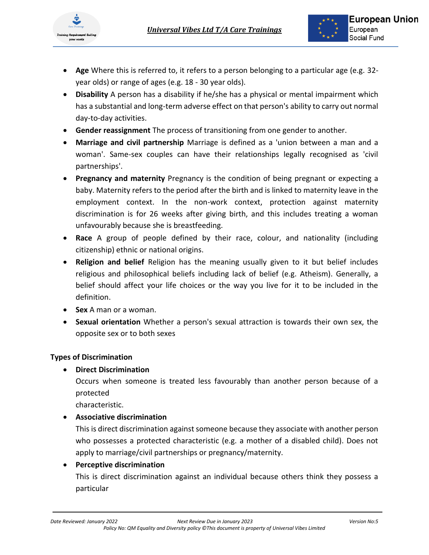

- **Age** Where this is referred to, it refers to a person belonging to a particular age (e.g. 32 year olds) or range of ages (e.g. 18 - 30 year olds).
- **Disability** A person has a disability if he/she has a physical or mental impairment which has a substantial and long-term adverse effect on that person's ability to carry out normal day-to-day activities.
- **Gender reassignment** The process of transitioning from one gender to another.
- **Marriage and civil partnership** Marriage is defined as a 'union between a man and a woman'. Same-sex couples can have their relationships legally recognised as 'civil partnerships'.
- **Pregnancy and maternity** Pregnancy is the condition of being pregnant or expecting a baby. Maternity refers to the period after the birth and is linked to maternity leave in the employment context. In the non-work context, protection against maternity discrimination is for 26 weeks after giving birth, and this includes treating a woman unfavourably because she is breastfeeding.
- **Race** A group of people defined by their race, colour, and nationality (including citizenship) ethnic or national origins.
- **Religion and belief** Religion has the meaning usually given to it but belief includes religious and philosophical beliefs including lack of belief (e.g. Atheism). Generally, a belief should affect your life choices or the way you live for it to be included in the definition.
- **Sex** A man or a woman.
- **Sexual orientation** Whether a person's sexual attraction is towards their own sex, the opposite sex or to both sexes

### **Types of Discrimination**

• **Direct Discrimination**

Occurs when someone is treated less favourably than another person because of a protected

characteristic.

### • **Associative discrimination**

This is direct discrimination against someone because they associate with another person who possesses a protected characteristic (e.g. a mother of a disabled child). Does not apply to marriage/civil partnerships or pregnancy/maternity.

## • **Perceptive discrimination**

This is direct discrimination against an individual because others think they possess a particular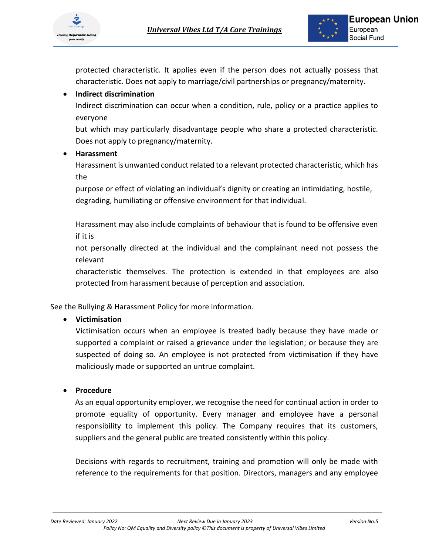

protected characteristic. It applies even if the person does not actually possess that characteristic. Does not apply to marriage/civil partnerships or pregnancy/maternity.

### • **Indirect discrimination**

Indirect discrimination can occur when a condition, rule, policy or a practice applies to everyone

but which may particularly disadvantage people who share a protected characteristic. Does not apply to pregnancy/maternity.

### • **Harassment**

Harassment is unwanted conduct related to a relevant protected characteristic, which has the

purpose or effect of violating an individual's dignity or creating an intimidating, hostile, degrading, humiliating or offensive environment for that individual.

Harassment may also include complaints of behaviour that is found to be offensive even if it is

not personally directed at the individual and the complainant need not possess the relevant

characteristic themselves. The protection is extended in that employees are also protected from harassment because of perception and association.

See the Bullying & Harassment Policy for more information.

### • **Victimisation**

Victimisation occurs when an employee is treated badly because they have made or supported a complaint or raised a grievance under the legislation; or because they are suspected of doing so. An employee is not protected from victimisation if they have maliciously made or supported an untrue complaint.

### • **Procedure**

As an equal opportunity employer, we recognise the need for continual action in order to promote equality of opportunity. Every manager and employee have a personal responsibility to implement this policy. The Company requires that its customers, suppliers and the general public are treated consistently within this policy.

Decisions with regards to recruitment, training and promotion will only be made with reference to the requirements for that position. Directors, managers and any employee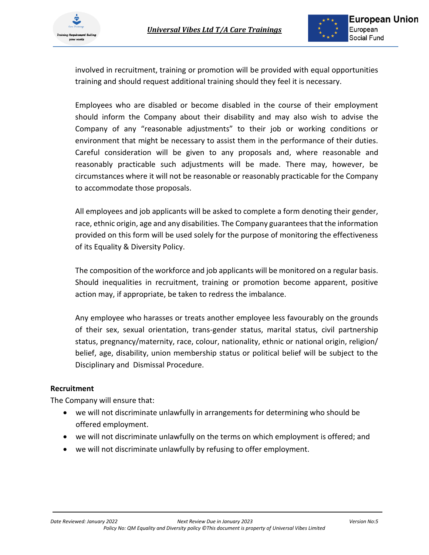

involved in recruitment, training or promotion will be provided with equal opportunities training and should request additional training should they feel it is necessary.

Employees who are disabled or become disabled in the course of their employment should inform the Company about their disability and may also wish to advise the Company of any "reasonable adjustments" to their job or working conditions or environment that might be necessary to assist them in the performance of their duties. Careful consideration will be given to any proposals and, where reasonable and reasonably practicable such adjustments will be made. There may, however, be circumstances where it will not be reasonable or reasonably practicable for the Company to accommodate those proposals.

All employees and job applicants will be asked to complete a form denoting their gender, race, ethnic origin, age and any disabilities. The Company guarantees that the information provided on this form will be used solely for the purpose of monitoring the effectiveness of its Equality & Diversity Policy.

The composition of the workforce and job applicants will be monitored on a regular basis. Should inequalities in recruitment, training or promotion become apparent, positive action may, if appropriate, be taken to redress the imbalance.

Any employee who harasses or treats another employee less favourably on the grounds of their sex, sexual orientation, trans-gender status, marital status, civil partnership status, pregnancy/maternity, race, colour, nationality, ethnic or national origin, religion/ belief, age, disability, union membership status or political belief will be subject to the Disciplinary and Dismissal Procedure.

#### **Recruitment**

The Company will ensure that:

- we will not discriminate unlawfully in arrangements for determining who should be offered employment.
- we will not discriminate unlawfully on the terms on which employment is offered; and
- we will not discriminate unlawfully by refusing to offer employment.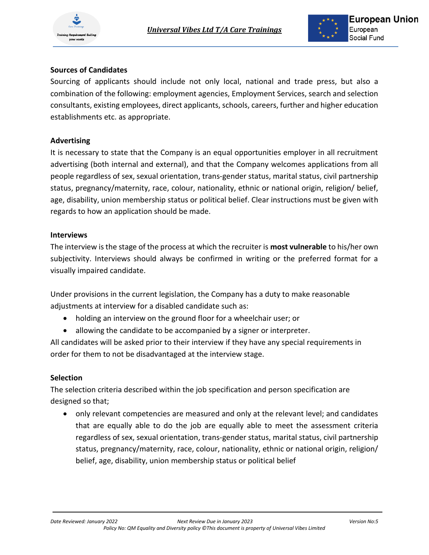

### **Sources of Candidates**

Sourcing of applicants should include not only local, national and trade press, but also a combination of the following: employment agencies, Employment Services, search and selection consultants, existing employees, direct applicants, schools, careers, further and higher education establishments etc. as appropriate.

#### **Advertising**

It is necessary to state that the Company is an equal opportunities employer in all recruitment advertising (both internal and external), and that the Company welcomes applications from all people regardless of sex, sexual orientation, trans-gender status, marital status, civil partnership status, pregnancy/maternity, race, colour, nationality, ethnic or national origin, religion/ belief, age, disability, union membership status or political belief. Clear instructions must be given with regards to how an application should be made.

#### **Interviews**

The interview is the stage of the process at which the recruiter is **most vulnerable** to his/her own subjectivity. Interviews should always be confirmed in writing or the preferred format for a visually impaired candidate.

Under provisions in the current legislation, the Company has a duty to make reasonable adjustments at interview for a disabled candidate such as:

- holding an interview on the ground floor for a wheelchair user; or
- allowing the candidate to be accompanied by a signer or interpreter.

All candidates will be asked prior to their interview if they have any special requirements in order for them to not be disadvantaged at the interview stage.

#### **Selection**

The selection criteria described within the job specification and person specification are designed so that;

• only relevant competencies are measured and only at the relevant level; and candidates that are equally able to do the job are equally able to meet the assessment criteria regardless of sex, sexual orientation, trans-gender status, marital status, civil partnership status, pregnancy/maternity, race, colour, nationality, ethnic or national origin, religion/ belief, age, disability, union membership status or political belief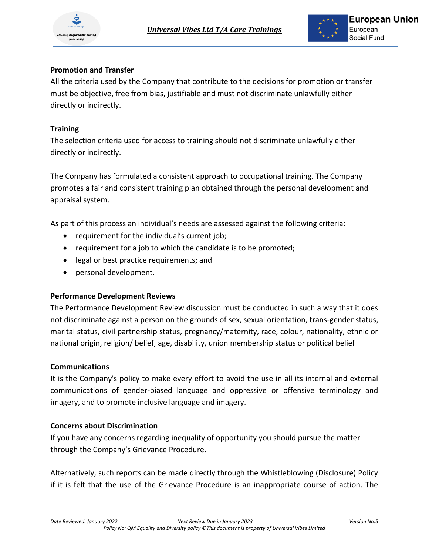



#### **Promotion and Transfer**

All the criteria used by the Company that contribute to the decisions for promotion or transfer must be objective, free from bias, justifiable and must not discriminate unlawfully either directly or indirectly.

### **Training**

The selection criteria used for access to training should not discriminate unlawfully either directly or indirectly.

The Company has formulated a consistent approach to occupational training. The Company promotes a fair and consistent training plan obtained through the personal development and appraisal system.

As part of this process an individual's needs are assessed against the following criteria:

- requirement for the individual's current job;
- requirement for a job to which the candidate is to be promoted;
- legal or best practice requirements; and
- personal development.

#### **Performance Development Reviews**

The Performance Development Review discussion must be conducted in such a way that it does not discriminate against a person on the grounds of sex, sexual orientation, trans-gender status, marital status, civil partnership status, pregnancy/maternity, race, colour, nationality, ethnic or national origin, religion/ belief, age, disability, union membership status or political belief

#### **Communications**

It is the Company's policy to make every effort to avoid the use in all its internal and external communications of gender-biased language and oppressive or offensive terminology and imagery, and to promote inclusive language and imagery.

#### **Concerns about Discrimination**

If you have any concerns regarding inequality of opportunity you should pursue the matter through the Company's Grievance Procedure.

Alternatively, such reports can be made directly through the Whistleblowing (Disclosure) Policy if it is felt that the use of the Grievance Procedure is an inappropriate course of action. The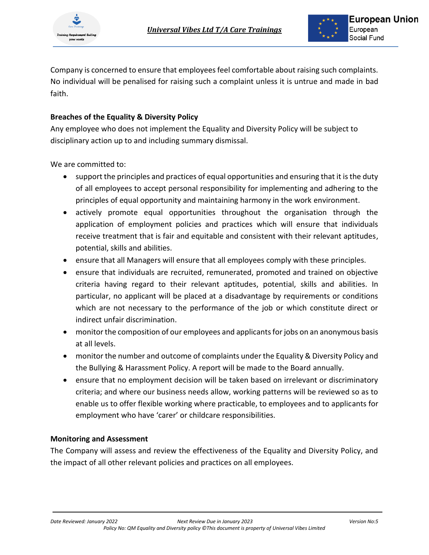Company is concerned to ensure that employees feel comfortable about raising such complaints. No individual will be penalised for raising such a complaint unless it is untrue and made in bad faith.

### **Breaches of the Equality & Diversity Policy**

Any employee who does not implement the Equality and Diversity Policy will be subject to disciplinary action up to and including summary dismissal.

We are committed to:

- support the principles and practices of equal opportunities and ensuring that it is the duty of all employees to accept personal responsibility for implementing and adhering to the principles of equal opportunity and maintaining harmony in the work environment.
- actively promote equal opportunities throughout the organisation through the application of employment policies and practices which will ensure that individuals receive treatment that is fair and equitable and consistent with their relevant aptitudes, potential, skills and abilities.
- ensure that all Managers will ensure that all employees comply with these principles.
- ensure that individuals are recruited, remunerated, promoted and trained on objective criteria having regard to their relevant aptitudes, potential, skills and abilities. In particular, no applicant will be placed at a disadvantage by requirements or conditions which are not necessary to the performance of the job or which constitute direct or indirect unfair discrimination.
- monitor the composition of our employees and applicants for jobs on an anonymous basis at all levels.
- monitor the number and outcome of complaints under the Equality & Diversity Policy and the Bullying & Harassment Policy. A report will be made to the Board annually.
- ensure that no employment decision will be taken based on irrelevant or discriminatory criteria; and where our business needs allow, working patterns will be reviewed so as to enable us to offer flexible working where practicable, to employees and to applicants for employment who have 'carer' or childcare responsibilities.

### **Monitoring and Assessment**

The Company will assess and review the effectiveness of the Equality and Diversity Policy, and the impact of all other relevant policies and practices on all employees.